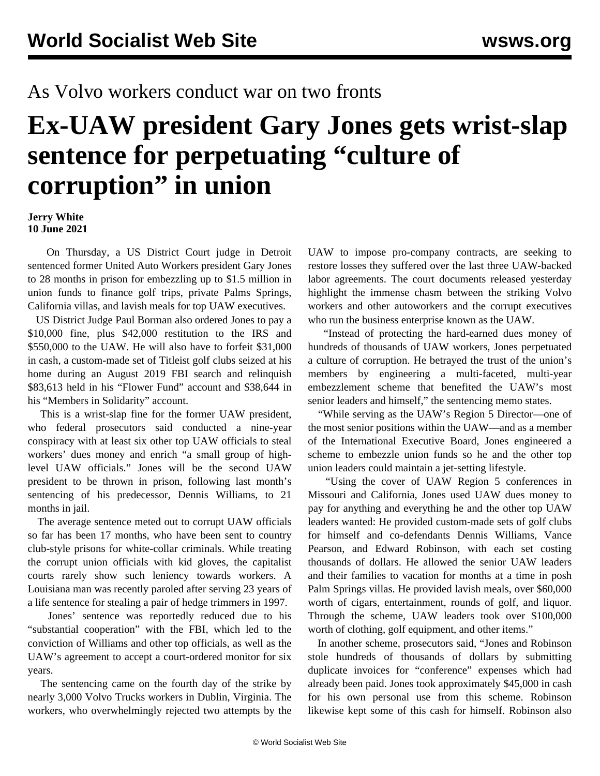## As Volvo workers conduct war on two fronts

## **Ex-UAW president Gary Jones gets wrist-slap sentence for perpetuating "culture of corruption" in union**

**Jerry White 10 June 2021**

 On Thursday, a US District Court judge in Detroit sentenced former United Auto Workers president Gary Jones to 28 months in prison for embezzling up to \$1.5 million in union funds to finance golf trips, private Palms Springs, California villas, and lavish meals for top UAW executives.

 US District Judge Paul Borman also ordered Jones to pay a \$10,000 fine, plus \$42,000 restitution to the IRS and \$550,000 to the UAW. He will also have to forfeit \$31,000 in cash, a custom-made set of Titleist golf clubs seized at his home during an August 2019 FBI search and relinquish \$83,613 held in his "Flower Fund" account and \$38,644 in his "Members in Solidarity" account.

 This is a wrist-slap fine for the former UAW president, who federal prosecutors said conducted a nine-year conspiracy with at least six other top UAW officials to steal workers' dues money and enrich "a small group of highlevel UAW officials." Jones will be the second UAW president to be thrown in prison, following last month's sentencing of his predecessor, Dennis Williams, to 21 months in jail.

 The average sentence meted out to corrupt UAW officials so far has been 17 months, who have been sent to country club-style prisons for white-collar criminals. While treating the corrupt union officials with kid gloves, the capitalist courts rarely show such leniency towards workers. A Louisiana man was recently paroled after serving 23 years of a life sentence for stealing a pair of hedge trimmers in 1997.

 Jones' sentence was reportedly reduced due to his "substantial cooperation" with the FBI, which led to the conviction of Williams and other top officials, as well as the UAW's agreement to accept a court-ordered monitor for six years.

 The sentencing came on the fourth day of the strike by nearly 3,000 Volvo Trucks workers in Dublin, Virginia. The workers, who overwhelmingly rejected two attempts by the UAW to impose pro-company contracts, are seeking to restore losses they suffered over the last three UAW-backed labor agreements. The court documents released yesterday highlight the immense chasm between the striking Volvo workers and other autoworkers and the corrupt executives who run the business enterprise known as the UAW.

 "Instead of protecting the hard-earned dues money of hundreds of thousands of UAW workers, Jones perpetuated a culture of corruption. He betrayed the trust of the union's members by engineering a multi-faceted, multi-year embezzlement scheme that benefited the UAW's most senior leaders and himself," the sentencing memo states.

 "While serving as the UAW's Region 5 Director—one of the most senior positions within the UAW—and as a member of the International Executive Board, Jones engineered a scheme to embezzle union funds so he and the other top union leaders could maintain a jet-setting lifestyle.

 "Using the cover of UAW Region 5 conferences in Missouri and California, Jones used UAW dues money to pay for anything and everything he and the other top UAW leaders wanted: He provided custom-made sets of golf clubs for himself and co-defendants Dennis Williams, Vance Pearson, and Edward Robinson, with each set costing thousands of dollars. He allowed the senior UAW leaders and their families to vacation for months at a time in posh Palm Springs villas. He provided lavish meals, over \$60,000 worth of cigars, entertainment, rounds of golf, and liquor. Through the scheme, UAW leaders took over \$100,000 worth of clothing, golf equipment, and other items."

 In another scheme, prosecutors said, "Jones and Robinson stole hundreds of thousands of dollars by submitting duplicate invoices for "conference" expenses which had already been paid. Jones took approximately \$45,000 in cash for his own personal use from this scheme. Robinson likewise kept some of this cash for himself. Robinson also